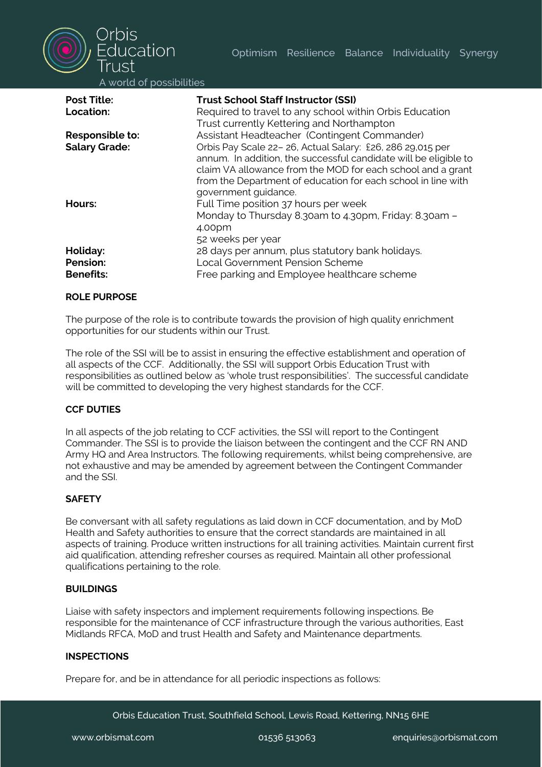

A world of possibilities

| <b>Post Title:</b>   | <b>Trust School Staff Instructor (SSI)</b>                       |
|----------------------|------------------------------------------------------------------|
| Location:            | Required to travel to any school within Orbis Education          |
|                      | Trust currently Kettering and Northampton                        |
| Responsible to:      | Assistant Headteacher (Contingent Commander)                     |
| <b>Salary Grade:</b> | Orbis Pay Scale 22-26, Actual Salary: £26, 286 29,015 per        |
|                      | annum. In addition, the successful candidate will be eligible to |
|                      | claim VA allowance from the MOD for each school and a grant      |
|                      | from the Department of education for each school in line with    |
|                      | government guidance.                                             |
| Hours:               | Full Time position 37 hours per week                             |
|                      | Monday to Thursday 8.30am to 4.30pm, Friday: 8.30am -            |
|                      | 4.00pm                                                           |
|                      | 52 weeks per year                                                |
| Holiday:             | 28 days per annum, plus statutory bank holidays.                 |
| Pension:             | Local Government Pension Scheme                                  |
| <b>Benefits:</b>     | Free parking and Employee healthcare scheme                      |

## **ROLE PURPOSE**

The purpose of the role is to contribute towards the provision of high quality enrichment opportunities for our students within our Trust.

The role of the SSI will be to assist in ensuring the effective establishment and operation of all aspects of the CCF. Additionally, the SSI will support Orbis Education Trust with responsibilities as outlined below as 'whole trust responsibilities'. The successful candidate will be committed to developing the very highest standards for the CCF.

## **CCF DUTIES**

In all aspects of the job relating to CCF activities, the SSI will report to the Contingent Commander. The SSI is to provide the liaison between the contingent and the CCF RN AND Army HQ and Area Instructors. The following requirements, whilst being comprehensive, are not exhaustive and may be amended by agreement between the Contingent Commander and the SSI.

#### **SAFETY**

Be conversant with all safety regulations as laid down in CCF documentation, and by MoD Health and Safety authorities to ensure that the correct standards are maintained in all aspects of training. Produce written instructions for all training activities. Maintain current first aid qualification, attending refresher courses as required. Maintain all other professional qualifications pertaining to the role.

## **BUILDINGS**

Liaise with safety inspectors and implement requirements following inspections. Be responsible for the maintenance of CCF infrastructure through the various authorities, East Midlands RFCA, MoD and trust Health and Safety and Maintenance departments.

## **INSPECTIONS**

Prepare for, and be in attendance for all periodic inspections as follows: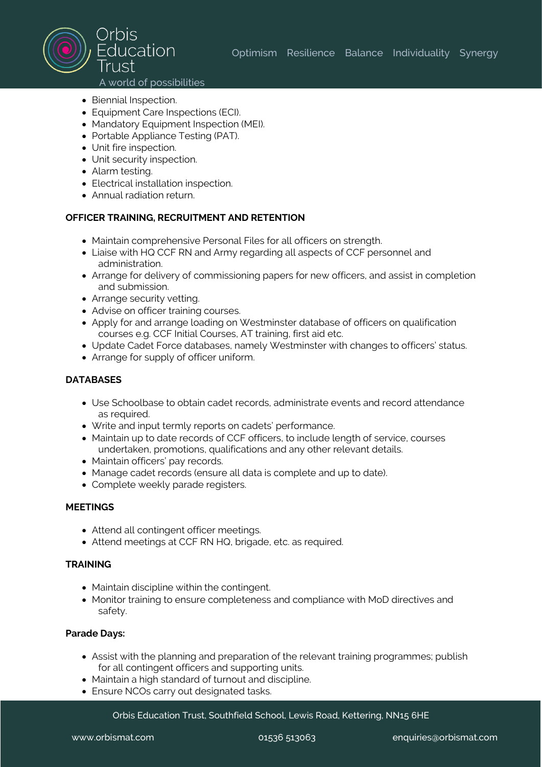

- Biennial Inspection.
- Equipment Care Inspections (ECI).
- Mandatory Equipment Inspection (MEI).
- Portable Appliance Testing (PAT).
- Unit fire inspection.
- Unit security inspection.
- Alarm testing.
- Electrical installation inspection.
- Annual radiation return.

## **OFFICER TRAINING, RECRUITMENT AND RETENTION**

- Maintain comprehensive Personal Files for all officers on strength.
- Liaise with HQ CCF RN and Army regarding all aspects of CCF personnel and administration.
- Arrange for delivery of commissioning papers for new officers, and assist in completion and submission.
- Arrange security vetting.
- Advise on officer training courses.
- Apply for and arrange loading on Westminster database of officers on qualification courses e.g. CCF Initial Courses, AT training, first aid etc.
- Update Cadet Force databases, namely Westminster with changes to officers' status.
- Arrange for supply of officer uniform.

## **DATABASES**

- Use Schoolbase to obtain cadet records, administrate events and record attendance as required.
- Write and input termly reports on cadets' performance.
- Maintain up to date records of CCF officers, to include length of service, courses undertaken, promotions, qualifications and any other relevant details.
- Maintain officers' pay records.
- Manage cadet records (ensure all data is complete and up to date).
- Complete weekly parade registers.

## **MEETINGS**

- Attend all contingent officer meetings.
- Attend meetings at CCF RN HQ, brigade, etc. as required.

## **TRAINING**

- Maintain discipline within the contingent.
- Monitor training to ensure completeness and compliance with MoD directives and safety.

## **Parade Days:**

- Assist with the planning and preparation of the relevant training programmes; publish for all contingent officers and supporting units.
- Maintain a high standard of turnout and discipline.
- Ensure NCOs carry out designated tasks.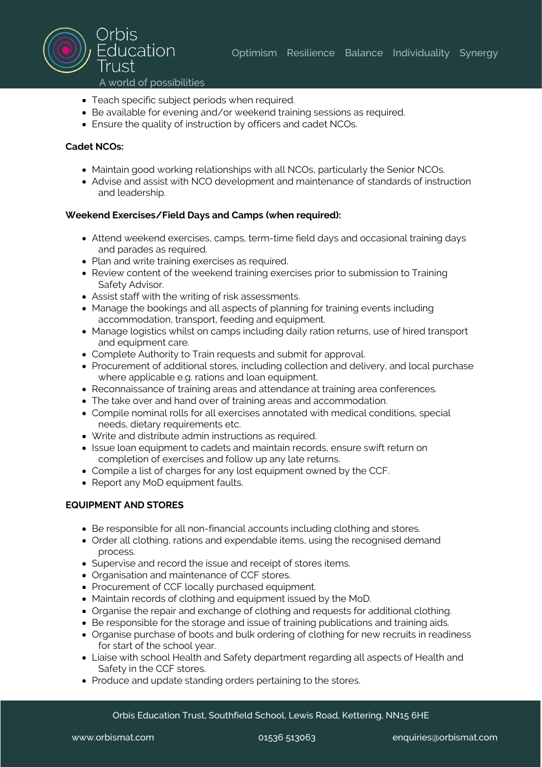

- 
- Teach specific subject periods when required.
- Be available for evening and/or weekend training sessions as required.
- Ensure the quality of instruction by officers and cadet NCOs.

## **Cadet NCOs:**

- Maintain good working relationships with all NCOs, particularly the Senior NCOs.
- Advise and assist with NCO development and maintenance of standards of instruction and leadership.

## **Weekend Exercises/Field Days and Camps (when required):**

- Attend weekend exercises, camps, term-time field days and occasional training days and parades as required.
- Plan and write training exercises as required.
- Review content of the weekend training exercises prior to submission to Training Safety Advisor.
- Assist staff with the writing of risk assessments.
- Manage the bookings and all aspects of planning for training events including accommodation, transport, feeding and equipment.
- Manage logistics whilst on camps including daily ration returns, use of hired transport and equipment care.
- Complete Authority to Train requests and submit for approval.
- Procurement of additional stores, including collection and delivery, and local purchase where applicable e.g. rations and loan equipment.
- Reconnaissance of training areas and attendance at training area conferences.
- The take over and hand over of training areas and accommodation.
- Compile nominal rolls for all exercises annotated with medical conditions, special needs, dietary requirements etc.
- Write and distribute admin instructions as required.
- Issue loan equipment to cadets and maintain records, ensure swift return on completion of exercises and follow up any late returns.
- Compile a list of charges for any lost equipment owned by the CCF.
- Report any MoD equipment faults.

# **EQUIPMENT AND STORES**

- Be responsible for all non-financial accounts including clothing and stores.
- Order all clothing, rations and expendable items, using the recognised demand process.
- Supervise and record the issue and receipt of stores items.
- Organisation and maintenance of CCF stores.
- Procurement of CCF locally purchased equipment.
- Maintain records of clothing and equipment issued by the MoD.
- Organise the repair and exchange of clothing and requests for additional clothing.
- Be responsible for the storage and issue of training publications and training aids.
- Organise purchase of boots and bulk ordering of clothing for new recruits in readiness for start of the school year.
- Liaise with school Health and Safety department regarding all aspects of Health and Safety in the CCF stores.
- Produce and update standing orders pertaining to the stores.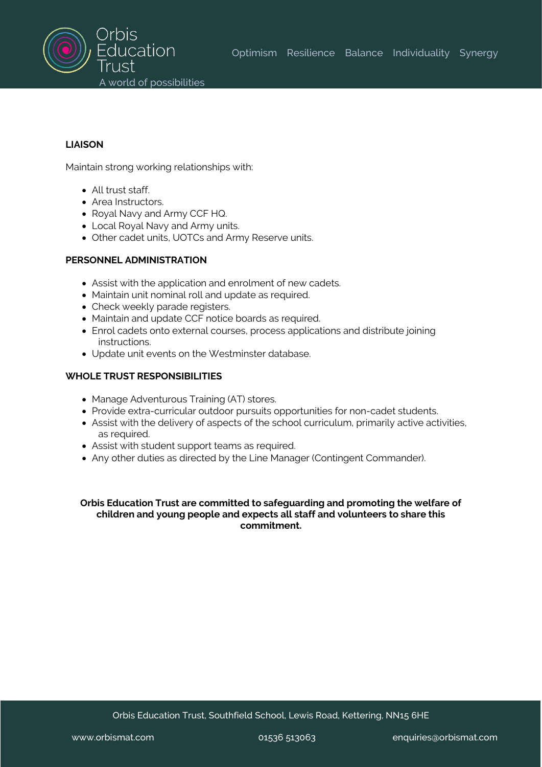

## **LIAISON**

Maintain strong working relationships with:

- All trust staff.
- Area Instructors.
- Royal Navy and Army CCF HQ.
- Local Royal Navy and Army units.
- Other cadet units, UOTCs and Army Reserve units.

## **PERSONNEL ADMINISTRATION**

- Assist with the application and enrolment of new cadets.
- Maintain unit nominal roll and update as required.
- Check weekly parade registers.
- Maintain and update CCF notice boards as required.
- Enrol cadets onto external courses, process applications and distribute joining instructions.
- Update unit events on the Westminster database.

## **WHOLE TRUST RESPONSIBILITIES**

- Manage Adventurous Training (AT) stores.
- Provide extra-curricular outdoor pursuits opportunities for non-cadet students.
- Assist with the delivery of aspects of the school curriculum, primarily active activities, as required.
- Assist with student support teams as required.
- Any other duties as directed by the Line Manager (Contingent Commander).

## **Orbis Education Trust are committed to safeguarding and promoting the welfare of children and young people and expects all staff and volunteers to share this commitment.**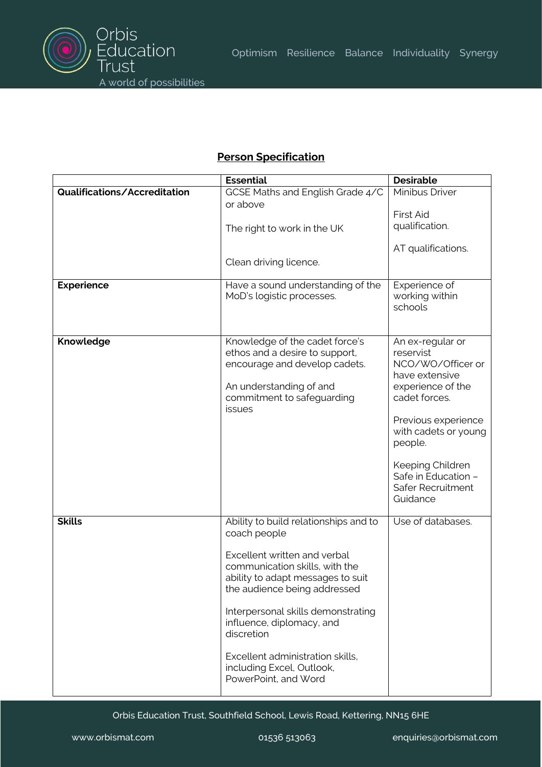

# **Person Specification**

|                              | <b>Essential</b>                                                                                                                                                     | <b>Desirable</b>                                                                                                                                                     |
|------------------------------|----------------------------------------------------------------------------------------------------------------------------------------------------------------------|----------------------------------------------------------------------------------------------------------------------------------------------------------------------|
| Qualifications/Accreditation | GCSE Maths and English Grade 4/C                                                                                                                                     | <b>Minibus Driver</b>                                                                                                                                                |
|                              | or above                                                                                                                                                             | <b>First Aid</b>                                                                                                                                                     |
|                              | The right to work in the UK                                                                                                                                          | qualification.                                                                                                                                                       |
|                              |                                                                                                                                                                      |                                                                                                                                                                      |
|                              |                                                                                                                                                                      | AT qualifications.                                                                                                                                                   |
|                              | Clean driving licence.                                                                                                                                               |                                                                                                                                                                      |
| <b>Experience</b>            | Have a sound understanding of the<br>MoD's logistic processes.                                                                                                       | Experience of<br>working within<br>schools                                                                                                                           |
| Knowledge                    | Knowledge of the cadet force's<br>ethos and a desire to support,<br>encourage and develop cadets.<br>An understanding of and<br>commitment to safeguarding<br>issues | An ex-regular or<br>reservist<br>NCO/WO/Officer or<br>have extensive<br>experience of the<br>cadet forces.<br>Previous experience<br>with cadets or young<br>people. |
|                              |                                                                                                                                                                      | Keeping Children<br>Safe in Education -<br>Safer Recruitment<br>Guidance                                                                                             |
| <b>Skills</b>                | Ability to build relationships and to<br>coach people                                                                                                                | Use of databases.                                                                                                                                                    |
|                              | Excellent written and verbal<br>communication skills, with the<br>ability to adapt messages to suit<br>the audience being addressed                                  |                                                                                                                                                                      |
|                              | Interpersonal skills demonstrating<br>influence, diplomacy, and<br>discretion                                                                                        |                                                                                                                                                                      |
|                              | Excellent administration skills,<br>including Excel, Outlook,<br>PowerPoint, and Word                                                                                |                                                                                                                                                                      |